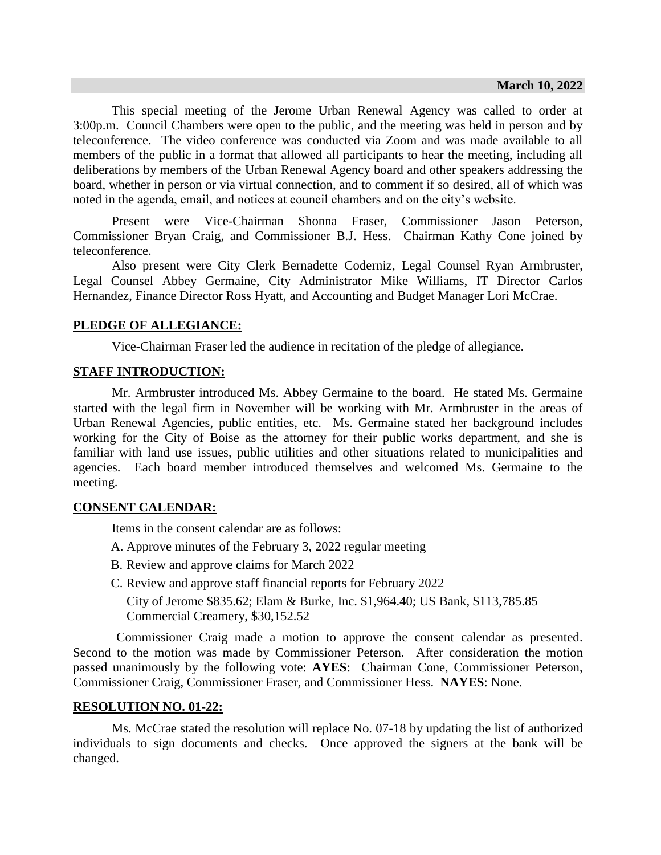This special meeting of the Jerome Urban Renewal Agency was called to order at 3:00p.m. Council Chambers were open to the public, and the meeting was held in person and by teleconference. The video conference was conducted via Zoom and was made available to all members of the public in a format that allowed all participants to hear the meeting, including all deliberations by members of the Urban Renewal Agency board and other speakers addressing the board, whether in person or via virtual connection, and to comment if so desired, all of which was noted in the agenda, email, and notices at council chambers and on the city's website.

Present were Vice-Chairman Shonna Fraser, Commissioner Jason Peterson, Commissioner Bryan Craig, and Commissioner B.J. Hess. Chairman Kathy Cone joined by teleconference.

Also present were City Clerk Bernadette Coderniz, Legal Counsel Ryan Armbruster, Legal Counsel Abbey Germaine, City Administrator Mike Williams, IT Director Carlos Hernandez, Finance Director Ross Hyatt, and Accounting and Budget Manager Lori McCrae.

# **PLEDGE OF ALLEGIANCE:**

Vice-Chairman Fraser led the audience in recitation of the pledge of allegiance.

# **STAFF INTRODUCTION:**

Mr. Armbruster introduced Ms. Abbey Germaine to the board. He stated Ms. Germaine started with the legal firm in November will be working with Mr. Armbruster in the areas of Urban Renewal Agencies, public entities, etc. Ms. Germaine stated her background includes working for the City of Boise as the attorney for their public works department, and she is familiar with land use issues, public utilities and other situations related to municipalities and agencies. Each board member introduced themselves and welcomed Ms. Germaine to the meeting.

# **CONSENT CALENDAR:**

Items in the consent calendar are as follows:

- A. Approve minutes of the February 3, 2022 regular meeting
- B. Review and approve claims for March 2022
- C. Review and approve staff financial reports for February 2022

City of Jerome \$835.62; Elam & Burke, Inc. \$1,964.40; US Bank, \$113,785.85 Commercial Creamery, \$30,152.52

Commissioner Craig made a motion to approve the consent calendar as presented. Second to the motion was made by Commissioner Peterson. After consideration the motion passed unanimously by the following vote: **AYES**: Chairman Cone, Commissioner Peterson, Commissioner Craig, Commissioner Fraser, and Commissioner Hess. **NAYES**: None.

# **RESOLUTION NO. 01-22:**

Ms. McCrae stated the resolution will replace No. 07-18 by updating the list of authorized individuals to sign documents and checks. Once approved the signers at the bank will be changed.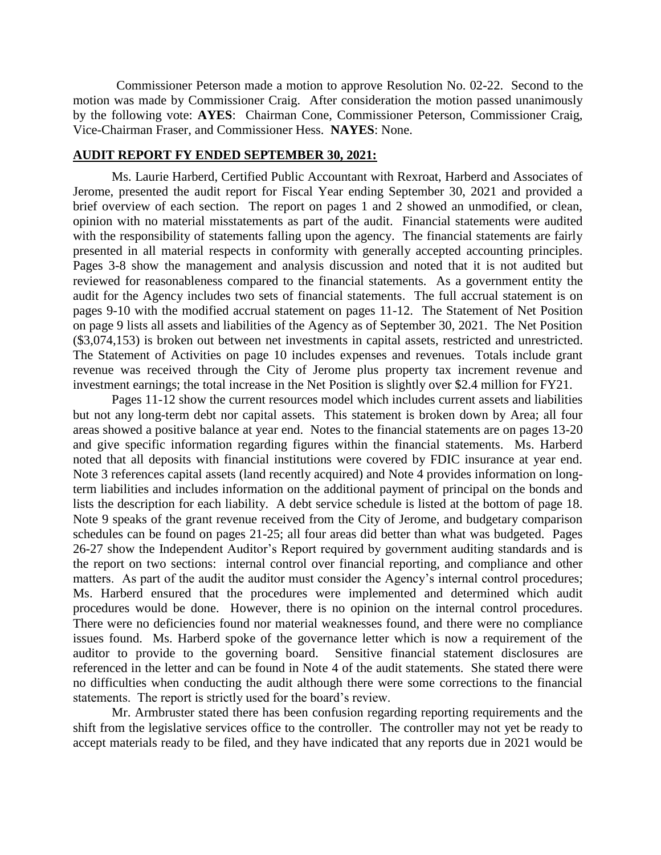Commissioner Peterson made a motion to approve Resolution No. 02-22. Second to the motion was made by Commissioner Craig. After consideration the motion passed unanimously by the following vote: **AYES**: Chairman Cone, Commissioner Peterson, Commissioner Craig, Vice-Chairman Fraser, and Commissioner Hess. **NAYES**: None.

# **AUDIT REPORT FY ENDED SEPTEMBER 30, 2021:**

Ms. Laurie Harberd, Certified Public Accountant with Rexroat, Harberd and Associates of Jerome, presented the audit report for Fiscal Year ending September 30, 2021 and provided a brief overview of each section. The report on pages 1 and 2 showed an unmodified, or clean, opinion with no material misstatements as part of the audit. Financial statements were audited with the responsibility of statements falling upon the agency. The financial statements are fairly presented in all material respects in conformity with generally accepted accounting principles. Pages 3-8 show the management and analysis discussion and noted that it is not audited but reviewed for reasonableness compared to the financial statements. As a government entity the audit for the Agency includes two sets of financial statements. The full accrual statement is on pages 9-10 with the modified accrual statement on pages 11-12. The Statement of Net Position on page 9 lists all assets and liabilities of the Agency as of September 30, 2021. The Net Position (\$3,074,153) is broken out between net investments in capital assets, restricted and unrestricted. The Statement of Activities on page 10 includes expenses and revenues. Totals include grant revenue was received through the City of Jerome plus property tax increment revenue and investment earnings; the total increase in the Net Position is slightly over \$2.4 million for FY21.

Pages 11-12 show the current resources model which includes current assets and liabilities but not any long-term debt nor capital assets. This statement is broken down by Area; all four areas showed a positive balance at year end. Notes to the financial statements are on pages 13-20 and give specific information regarding figures within the financial statements. Ms. Harberd noted that all deposits with financial institutions were covered by FDIC insurance at year end. Note 3 references capital assets (land recently acquired) and Note 4 provides information on longterm liabilities and includes information on the additional payment of principal on the bonds and lists the description for each liability. A debt service schedule is listed at the bottom of page 18. Note 9 speaks of the grant revenue received from the City of Jerome, and budgetary comparison schedules can be found on pages 21-25; all four areas did better than what was budgeted. Pages 26-27 show the Independent Auditor's Report required by government auditing standards and is the report on two sections: internal control over financial reporting, and compliance and other matters. As part of the audit the auditor must consider the Agency's internal control procedures; Ms. Harberd ensured that the procedures were implemented and determined which audit procedures would be done. However, there is no opinion on the internal control procedures. There were no deficiencies found nor material weaknesses found, and there were no compliance issues found. Ms. Harberd spoke of the governance letter which is now a requirement of the auditor to provide to the governing board. Sensitive financial statement disclosures are referenced in the letter and can be found in Note 4 of the audit statements. She stated there were no difficulties when conducting the audit although there were some corrections to the financial statements. The report is strictly used for the board's review.

Mr. Armbruster stated there has been confusion regarding reporting requirements and the shift from the legislative services office to the controller. The controller may not yet be ready to accept materials ready to be filed, and they have indicated that any reports due in 2021 would be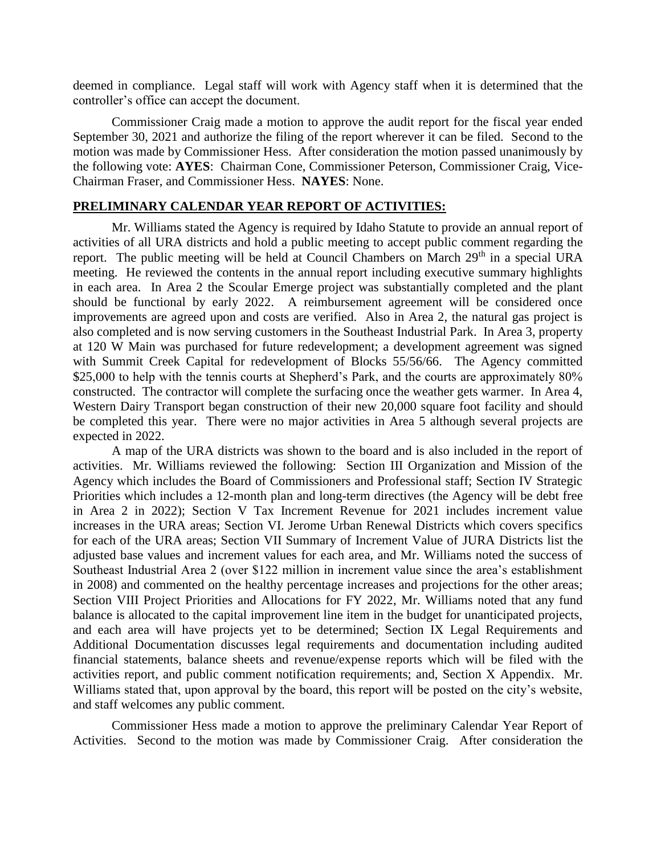deemed in compliance. Legal staff will work with Agency staff when it is determined that the controller's office can accept the document.

Commissioner Craig made a motion to approve the audit report for the fiscal year ended September 30, 2021 and authorize the filing of the report wherever it can be filed. Second to the motion was made by Commissioner Hess. After consideration the motion passed unanimously by the following vote: **AYES**: Chairman Cone, Commissioner Peterson, Commissioner Craig, Vice-Chairman Fraser, and Commissioner Hess. **NAYES**: None.

## **PRELIMINARY CALENDAR YEAR REPORT OF ACTIVITIES:**

Mr. Williams stated the Agency is required by Idaho Statute to provide an annual report of activities of all URA districts and hold a public meeting to accept public comment regarding the report. The public meeting will be held at Council Chambers on March  $29<sup>th</sup>$  in a special URA meeting. He reviewed the contents in the annual report including executive summary highlights in each area. In Area 2 the Scoular Emerge project was substantially completed and the plant should be functional by early 2022. A reimbursement agreement will be considered once improvements are agreed upon and costs are verified. Also in Area 2, the natural gas project is also completed and is now serving customers in the Southeast Industrial Park. In Area 3, property at 120 W Main was purchased for future redevelopment; a development agreement was signed with Summit Creek Capital for redevelopment of Blocks 55/56/66. The Agency committed \$25,000 to help with the tennis courts at Shepherd's Park, and the courts are approximately 80% constructed. The contractor will complete the surfacing once the weather gets warmer. In Area 4, Western Dairy Transport began construction of their new 20,000 square foot facility and should be completed this year. There were no major activities in Area 5 although several projects are expected in 2022.

A map of the URA districts was shown to the board and is also included in the report of activities. Mr. Williams reviewed the following: Section III Organization and Mission of the Agency which includes the Board of Commissioners and Professional staff; Section IV Strategic Priorities which includes a 12-month plan and long-term directives (the Agency will be debt free in Area 2 in 2022); Section V Tax Increment Revenue for 2021 includes increment value increases in the URA areas; Section VI. Jerome Urban Renewal Districts which covers specifics for each of the URA areas; Section VII Summary of Increment Value of JURA Districts list the adjusted base values and increment values for each area, and Mr. Williams noted the success of Southeast Industrial Area 2 (over \$122 million in increment value since the area's establishment in 2008) and commented on the healthy percentage increases and projections for the other areas; Section VIII Project Priorities and Allocations for FY 2022, Mr. Williams noted that any fund balance is allocated to the capital improvement line item in the budget for unanticipated projects, and each area will have projects yet to be determined; Section IX Legal Requirements and Additional Documentation discusses legal requirements and documentation including audited financial statements, balance sheets and revenue/expense reports which will be filed with the activities report, and public comment notification requirements; and, Section X Appendix. Mr. Williams stated that, upon approval by the board, this report will be posted on the city's website, and staff welcomes any public comment.

Commissioner Hess made a motion to approve the preliminary Calendar Year Report of Activities. Second to the motion was made by Commissioner Craig. After consideration the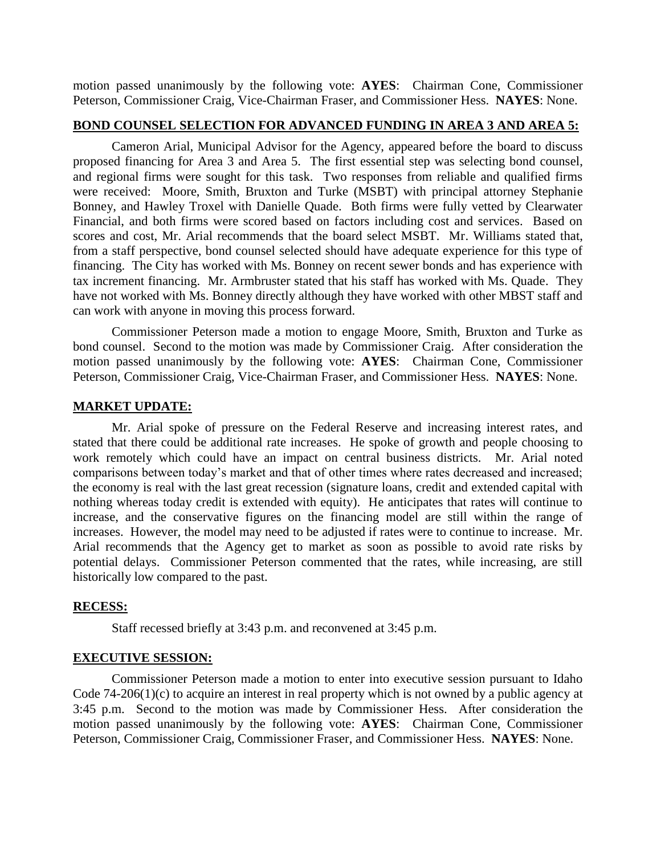motion passed unanimously by the following vote: **AYES**: Chairman Cone, Commissioner Peterson, Commissioner Craig, Vice-Chairman Fraser, and Commissioner Hess. **NAYES**: None.

## **BOND COUNSEL SELECTION FOR ADVANCED FUNDING IN AREA 3 AND AREA 5:**

Cameron Arial, Municipal Advisor for the Agency, appeared before the board to discuss proposed financing for Area 3 and Area 5. The first essential step was selecting bond counsel, and regional firms were sought for this task. Two responses from reliable and qualified firms were received: Moore, Smith, Bruxton and Turke (MSBT) with principal attorney Stephanie Bonney, and Hawley Troxel with Danielle Quade. Both firms were fully vetted by Clearwater Financial, and both firms were scored based on factors including cost and services. Based on scores and cost, Mr. Arial recommends that the board select MSBT. Mr. Williams stated that, from a staff perspective, bond counsel selected should have adequate experience for this type of financing. The City has worked with Ms. Bonney on recent sewer bonds and has experience with tax increment financing. Mr. Armbruster stated that his staff has worked with Ms. Quade. They have not worked with Ms. Bonney directly although they have worked with other MBST staff and can work with anyone in moving this process forward.

Commissioner Peterson made a motion to engage Moore, Smith, Bruxton and Turke as bond counsel. Second to the motion was made by Commissioner Craig. After consideration the motion passed unanimously by the following vote: **AYES**: Chairman Cone, Commissioner Peterson, Commissioner Craig, Vice-Chairman Fraser, and Commissioner Hess. **NAYES**: None.

#### **MARKET UPDATE:**

Mr. Arial spoke of pressure on the Federal Reserve and increasing interest rates, and stated that there could be additional rate increases. He spoke of growth and people choosing to work remotely which could have an impact on central business districts. Mr. Arial noted comparisons between today's market and that of other times where rates decreased and increased; the economy is real with the last great recession (signature loans, credit and extended capital with nothing whereas today credit is extended with equity). He anticipates that rates will continue to increase, and the conservative figures on the financing model are still within the range of increases. However, the model may need to be adjusted if rates were to continue to increase. Mr. Arial recommends that the Agency get to market as soon as possible to avoid rate risks by potential delays. Commissioner Peterson commented that the rates, while increasing, are still historically low compared to the past.

## **RECESS:**

Staff recessed briefly at 3:43 p.m. and reconvened at 3:45 p.m.

#### **EXECUTIVE SESSION:**

Commissioner Peterson made a motion to enter into executive session pursuant to Idaho Code 74-206(1)(c) to acquire an interest in real property which is not owned by a public agency at 3:45 p.m. Second to the motion was made by Commissioner Hess. After consideration the motion passed unanimously by the following vote: **AYES**: Chairman Cone, Commissioner Peterson, Commissioner Craig, Commissioner Fraser, and Commissioner Hess. **NAYES**: None.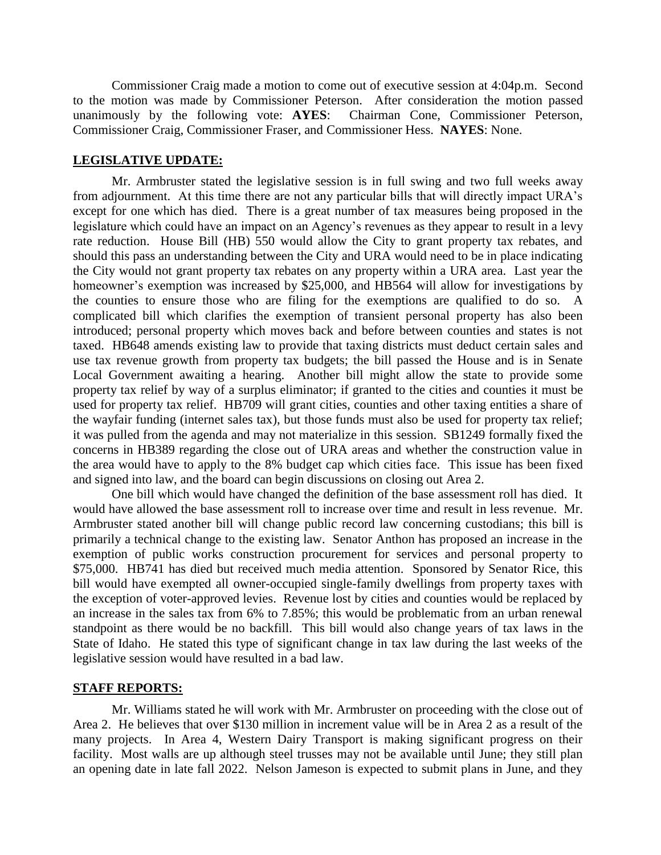Commissioner Craig made a motion to come out of executive session at 4:04p.m. Second to the motion was made by Commissioner Peterson. After consideration the motion passed unanimously by the following vote: **AYES**: Chairman Cone, Commissioner Peterson, Commissioner Craig, Commissioner Fraser, and Commissioner Hess. **NAYES**: None.

# **LEGISLATIVE UPDATE:**

Mr. Armbruster stated the legislative session is in full swing and two full weeks away from adjournment. At this time there are not any particular bills that will directly impact URA's except for one which has died. There is a great number of tax measures being proposed in the legislature which could have an impact on an Agency's revenues as they appear to result in a levy rate reduction. House Bill (HB) 550 would allow the City to grant property tax rebates, and should this pass an understanding between the City and URA would need to be in place indicating the City would not grant property tax rebates on any property within a URA area. Last year the homeowner's exemption was increased by \$25,000, and HB564 will allow for investigations by the counties to ensure those who are filing for the exemptions are qualified to do so. A complicated bill which clarifies the exemption of transient personal property has also been introduced; personal property which moves back and before between counties and states is not taxed. HB648 amends existing law to provide that taxing districts must deduct certain sales and use tax revenue growth from property tax budgets; the bill passed the House and is in Senate Local Government awaiting a hearing. Another bill might allow the state to provide some property tax relief by way of a surplus eliminator; if granted to the cities and counties it must be used for property tax relief. HB709 will grant cities, counties and other taxing entities a share of the wayfair funding (internet sales tax), but those funds must also be used for property tax relief; it was pulled from the agenda and may not materialize in this session. SB1249 formally fixed the concerns in HB389 regarding the close out of URA areas and whether the construction value in the area would have to apply to the 8% budget cap which cities face. This issue has been fixed and signed into law, and the board can begin discussions on closing out Area 2.

One bill which would have changed the definition of the base assessment roll has died. It would have allowed the base assessment roll to increase over time and result in less revenue. Mr. Armbruster stated another bill will change public record law concerning custodians; this bill is primarily a technical change to the existing law. Senator Anthon has proposed an increase in the exemption of public works construction procurement for services and personal property to \$75,000. HB741 has died but received much media attention. Sponsored by Senator Rice, this bill would have exempted all owner-occupied single-family dwellings from property taxes with the exception of voter-approved levies. Revenue lost by cities and counties would be replaced by an increase in the sales tax from 6% to 7.85%; this would be problematic from an urban renewal standpoint as there would be no backfill. This bill would also change years of tax laws in the State of Idaho. He stated this type of significant change in tax law during the last weeks of the legislative session would have resulted in a bad law.

## **STAFF REPORTS:**

Mr. Williams stated he will work with Mr. Armbruster on proceeding with the close out of Area 2. He believes that over \$130 million in increment value will be in Area 2 as a result of the many projects. In Area 4, Western Dairy Transport is making significant progress on their facility. Most walls are up although steel trusses may not be available until June; they still plan an opening date in late fall 2022. Nelson Jameson is expected to submit plans in June, and they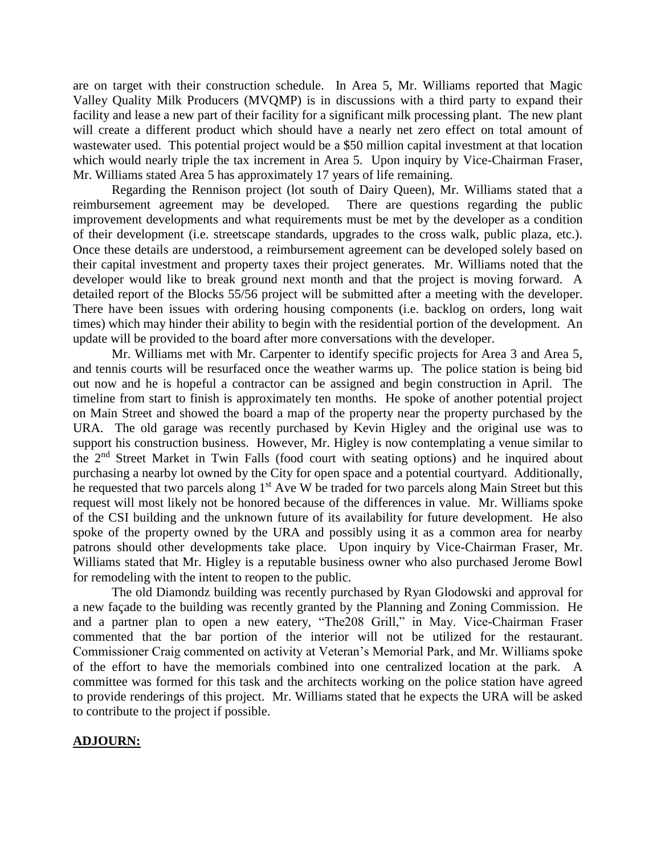are on target with their construction schedule. In Area 5, Mr. Williams reported that Magic Valley Quality Milk Producers (MVQMP) is in discussions with a third party to expand their facility and lease a new part of their facility for a significant milk processing plant. The new plant will create a different product which should have a nearly net zero effect on total amount of wastewater used. This potential project would be a \$50 million capital investment at that location which would nearly triple the tax increment in Area 5. Upon inquiry by Vice-Chairman Fraser, Mr. Williams stated Area 5 has approximately 17 years of life remaining.

Regarding the Rennison project (lot south of Dairy Queen), Mr. Williams stated that a reimbursement agreement may be developed. There are questions regarding the public improvement developments and what requirements must be met by the developer as a condition of their development (i.e. streetscape standards, upgrades to the cross walk, public plaza, etc.). Once these details are understood, a reimbursement agreement can be developed solely based on their capital investment and property taxes their project generates. Mr. Williams noted that the developer would like to break ground next month and that the project is moving forward. A detailed report of the Blocks 55/56 project will be submitted after a meeting with the developer. There have been issues with ordering housing components (i.e. backlog on orders, long wait times) which may hinder their ability to begin with the residential portion of the development. An update will be provided to the board after more conversations with the developer.

Mr. Williams met with Mr. Carpenter to identify specific projects for Area 3 and Area 5, and tennis courts will be resurfaced once the weather warms up. The police station is being bid out now and he is hopeful a contractor can be assigned and begin construction in April. The timeline from start to finish is approximately ten months. He spoke of another potential project on Main Street and showed the board a map of the property near the property purchased by the URA. The old garage was recently purchased by Kevin Higley and the original use was to support his construction business. However, Mr. Higley is now contemplating a venue similar to the 2nd Street Market in Twin Falls (food court with seating options) and he inquired about purchasing a nearby lot owned by the City for open space and a potential courtyard. Additionally, he requested that two parcels along  $1<sup>st</sup>$  Ave W be traded for two parcels along Main Street but this request will most likely not be honored because of the differences in value. Mr. Williams spoke of the CSI building and the unknown future of its availability for future development. He also spoke of the property owned by the URA and possibly using it as a common area for nearby patrons should other developments take place. Upon inquiry by Vice-Chairman Fraser, Mr. Williams stated that Mr. Higley is a reputable business owner who also purchased Jerome Bowl for remodeling with the intent to reopen to the public.

The old Diamondz building was recently purchased by Ryan Glodowski and approval for a new façade to the building was recently granted by the Planning and Zoning Commission. He and a partner plan to open a new eatery, "The208 Grill," in May. Vice-Chairman Fraser commented that the bar portion of the interior will not be utilized for the restaurant. Commissioner Craig commented on activity at Veteran's Memorial Park, and Mr. Williams spoke of the effort to have the memorials combined into one centralized location at the park. A committee was formed for this task and the architects working on the police station have agreed to provide renderings of this project. Mr. Williams stated that he expects the URA will be asked to contribute to the project if possible.

## **ADJOURN:**